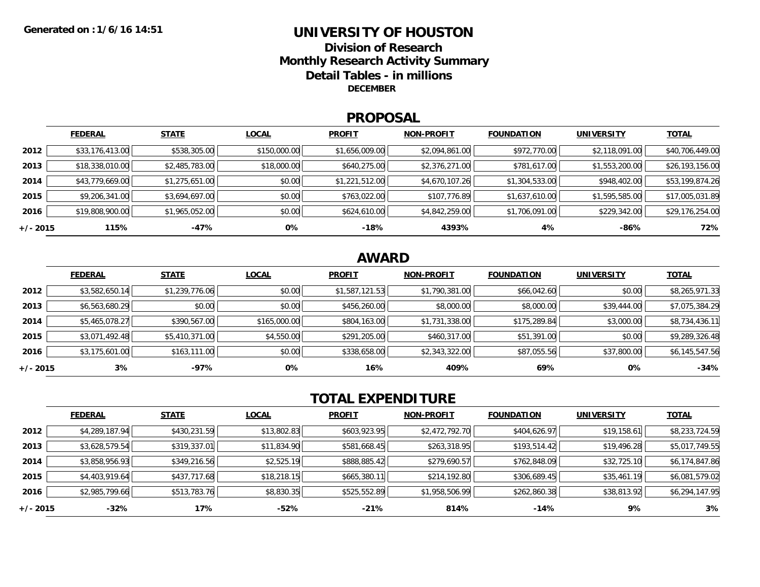### **UNIVERSITY OF HOUSTONDivision of ResearchMonthly Research Activity Summary Detail Tables - in millions DECEMBER**

### **PROPOSAL**

|            | <b>FEDERAL</b>  | <b>STATE</b>   | <b>LOCAL</b> | <b>PROFIT</b>  | <b>NON-PROFIT</b> | <b>FOUNDATION</b> | <b>UNIVERSITY</b> | <u>TOTAL</u>    |
|------------|-----------------|----------------|--------------|----------------|-------------------|-------------------|-------------------|-----------------|
| 2012       | \$33,176,413.00 | \$538,305.00   | \$150,000.00 | \$1,656,009.00 | \$2,094,861.00    | \$972,770.00      | \$2,118,091.00    | \$40,706,449.00 |
| 2013       | \$18,338,010.00 | \$2,485,783.00 | \$18,000.00  | \$640,275.00   | \$2,376,271.00    | \$781,617.00      | \$1,553,200.00    | \$26,193,156.00 |
| 2014       | \$43,779,669.00 | \$1,275,651.00 | \$0.00       | \$1,221,512.00 | \$4,670,107.26    | \$1,304,533.00    | \$948,402.00      | \$53,199,874.26 |
| 2015       | \$9,206,341.00  | \$3,694,697.00 | \$0.00       | \$763,022.00   | \$107,776.89      | \$1,637,610.00    | \$1,595,585.00    | \$17,005,031.89 |
| 2016       | \$19,808,900.00 | \$1,965,052.00 | \$0.00       | \$624,610.00   | \$4,842,259.00    | \$1,706,091.00    | \$229,342.00      | \$29,176,254.00 |
| $+/- 2015$ | 115%            | -47%           | 0%           | $-18%$         | 4393%             | 4%                | $-86%$            | 72%             |

## **AWARD**

|          | <b>FEDERAL</b> | <b>STATE</b>   | <b>LOCAL</b> | <b>PROFIT</b>  | <b>NON-PROFIT</b> | <b>FOUNDATION</b> | <b>UNIVERSITY</b> | <b>TOTAL</b>   |
|----------|----------------|----------------|--------------|----------------|-------------------|-------------------|-------------------|----------------|
| 2012     | \$3,582,650.14 | \$1,239,776.06 | \$0.00       | \$1,587,121.53 | \$1,790,381.00    | \$66,042.60       | \$0.00            | \$8,265,971.33 |
| 2013     | \$6,563,680.29 | \$0.00         | \$0.00       | \$456,260.00   | \$8,000.00        | \$8,000.00        | \$39,444.00       | \$7,075,384.29 |
| 2014     | \$5,465,078.27 | \$390,567.00   | \$165,000.00 | \$804,163.00   | \$1,731,338.00    | \$175,289.84      | \$3,000.00        | \$8,734,436.11 |
| 2015     | \$3,071,492.48 | \$5,410,371.00 | \$4,550.00   | \$291,205.00   | \$460,317.00      | \$51,391.00       | \$0.00            | \$9,289,326.48 |
| 2016     | \$3,175,601.00 | \$163,111.00   | \$0.00       | \$338,658.00   | \$2,343,322.00    | \$87,055.56       | \$37,800.00       | \$6,145,547.56 |
| +/- 2015 | 3%             | -97%           | 0%           | 16%            | 409%              | 69%               | 0%                | $-34%$         |

# **TOTAL EXPENDITURE**

|          | <b>FEDERAL</b> | <b>STATE</b> | <b>LOCAL</b> | <b>PROFIT</b> | <b>NON-PROFIT</b> | <b>FOUNDATION</b> | <b>UNIVERSITY</b> | <b>TOTAL</b>   |
|----------|----------------|--------------|--------------|---------------|-------------------|-------------------|-------------------|----------------|
| 2012     | \$4,289,187.94 | \$430,231.59 | \$13,802.83  | \$603,923.95  | \$2,472,792.70    | \$404,626.97      | \$19,158.61       | \$8,233,724.59 |
| 2013     | \$3,628,579.54 | \$319,337.01 | \$11,834.90  | \$581,668.45  | \$263,318.95      | \$193,514.42      | \$19,496.28       | \$5,017,749.55 |
| 2014     | \$3,858,956.93 | \$349,216.56 | \$2,525.19   | \$888,885.42  | \$279,690.57      | \$762,848.09      | \$32,725.10       | \$6,174,847.86 |
| 2015     | \$4,403,919.64 | \$437,717.68 | \$18,218.15  | \$665,380.11  | \$214,192.80      | \$306,689.45      | \$35,461.19       | \$6,081,579.02 |
| 2016     | \$2,985,799.66 | \$513,783.76 | \$8,830.35   | \$525,552.89  | \$1,958,506.99    | \$262,860.38      | \$38,813.92       | \$6,294,147.95 |
| +/- 2015 | $-32%$         | 17%          | $-52%$       | $-21%$        | 814%              | $-14%$            | 9%                | 3%             |